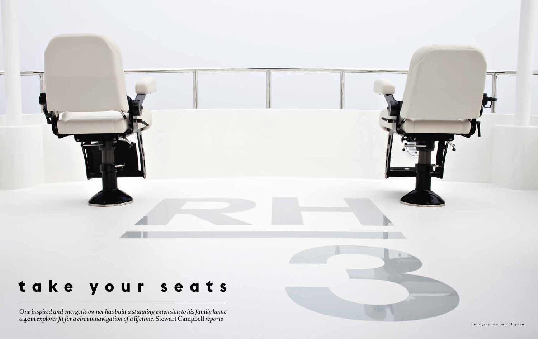## *Dive sites for your bucket list*

International

STARRING: PRINCE ALBERT II • ADRIAN GRENIER II • ADRIAN GRENIER II • ADRIAN GRENIER II • ADRIAN GRENIER II • A

LEONARDO DICAPRIO • HELENA CHRISTENSEN

 $\bullet$  and the countries of the countries of the countries of the countries of the countries of the countries of the countries of the countries of the countries of the countries of the countries of the countries of the coun

RALPH LAUREN • BRYAN ADAMS • AGNÈS B

GREEN MACHINE *Why RH3 is setting course for Galápagos*

> Wild wonder: the Great Barrier Reef by superyacht pg-164

## *The 2017* **OCEAN** AWARD S

*Winners revealed*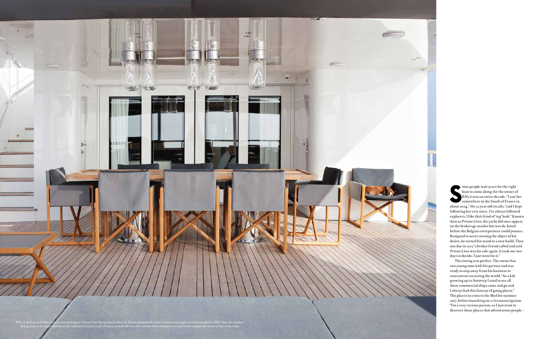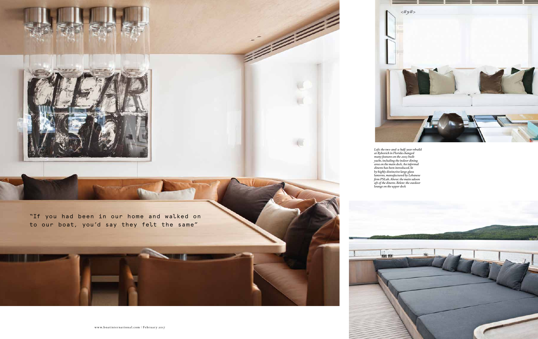**S**<br>About 20<br>Followin ome people wait years for the right boat to come along; for the owner of *RH3* it was an entire decade. "I saw her somewhere in the South of France in about 2004," the 52 year old recalls, "and I kept following her ever since. I've always followed explorers. I like their kind of 'tug' look." Known then as *Private Lives*, the yacht did once appear on the brokerage market but was de-listed before the Belgian entrepreneur could pounce. Resigned to never owning the object of his desire, he turned his mind to a new build. Then one day in 2013 "a broker friend called and said *Private Lives* was for sale again. It took me two days to decide. I just went for it."

The timing was perfect. The owner has two young sons with his partner and was ready to step away from his business to concentrate on seeing the world. "As a kid growing up in Antwerp I used to see all these commercial ships come and go and I always had this fantasy of going places." The plan is to cross to the Med for summer 2017, before launching on a circumnavigation. "I'm a very curious person, so I just want to discover these places that adventurous people

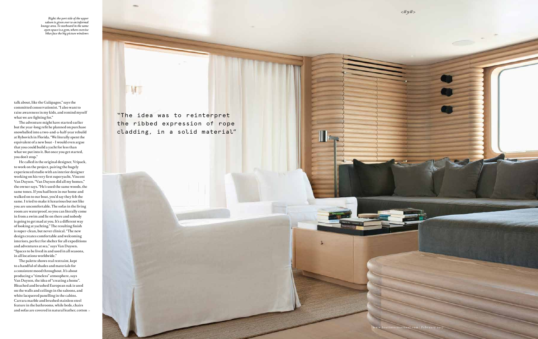*Left: the two-and-a-half-year rebuild at Rybovich in Florida changed many features on the 2003-built yacht, including the indoor dining area on the main deck. An informal dinette has been introduced, lit by highly distinctive large glass lanterns, manufactured by Lebanese firm PSLab. Above: the main saloon aft of the dinette. Below: the outdoor lounge on the upper deck*

e de découvrier de la découvrier de la découvrier de la découvrier de la découvrier de la découvrier de la découvrier de la découvrier de la découvrier de la découvrier de la découvrier de la découvrier de la découvrier de



"If you had been in our home and walked on to our boat, you'd say they felt the same"

**SLUGBER** 

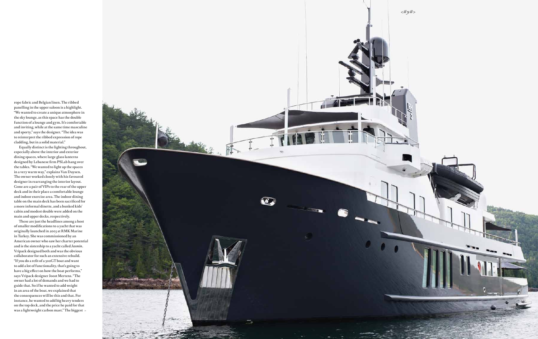"The idea was to reinterpret the ribbed expression of rope cladding, in a solid material"

 $\mathbf{M}$  .

talk about, like the Galápagos," says the committed conservationist. "I also want to raise awareness in my kids, and remind myself what we are fighting for."

The adventure might have started earlier but the year-long refit he planned on purchase snowballed into a two-and-a-half-year rebuild at Rybovich in Florida. "We literally spent the equivalent of a new boat – I would even argue that you could build a yacht for less than what we put into it. But once you get started, you don't stop."

He called in the original designer, Vripack, to work on the project, pairing the hugely experienced studio with an interior designer working on his very first superyacht, Vincent Van Duysen. "Van Duysen did all my homes," the owner says. "He's used the same woods, the same tones. If you had been in our home and walked on to our boat, you'd say they felt the same. I tried to make it luxurious but not like you are uncomfortable. The sofas in the living room are waterproof, so you can literally come in from a swim and lie on there and nobody is going to get mad at you. It's a different way of looking at yachting." The resulting finish is super-clean, but never clinical. "The new design creates comfortable and welcoming interiors, perfect for shelter for all expeditions and adventures at sea," says Van Duysen. "Spaces to be lived in and used in all seasons, in all locations worldwide."

The palette shows real restraint, kept to a handful of shades and materials for a consistent mood throughout. It's about producing a "timeless" atmosphere, says Van Duysen, the idea of "creating a home". Bleached and brushed European oak is used on the walls and ceilings in the saloons, and white lacquered panelling in the cabins. Carrara marble and brushed stainless steel feature in the bathrooms, while beds, chairs and sofas are covered in natural leather, cotton

*Right: the port side of the upper saloon is given over to an informal lounge area. To starboard in the same open space is a gym, where exercise bikes face the big picture windows*



 $\prod_{i=1}^n$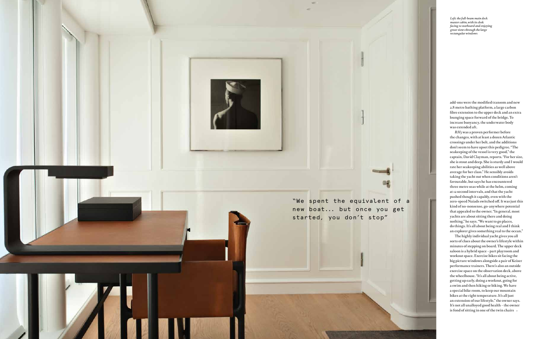rope fabric and Belgian linen. The ribbed panelling in the upper saloon is a highlight. "We wanted to create a unique atmosphere in the sky lounge, as this space has the double function of a lounge and gym. It's comfortable and inviting, while at the same time masculine and sporty," says the designer. "The idea was to reinterpret the ribbed expression of rope cladding, but in a solid material."

Equally distinct is the lighting throughout, especially above the interior and exterior dining spaces, where large glass lanterns designed by Lebanese firm PSLab hang over the tables. "We wanted to light up the spaces in a very warm way," explains Van Duysen. The owner worked closely with his favoured designer in rearranging the interior layout. Gone are a pair of VIPs to the rear of the upper deck and in their place a comfortable lounge and indoor exercise area. The indoor dining table on the main deck has been sacrificed for a more informal dinette, and a bunked kids' cabin and modest double were added on the main and upper decks, respectively.

These are just the headlines among a host of smaller modifications to a yacht that was originally launched in 2003 at RMK Marine in Turkey. She was commissioned by an American owner who saw her charter potential and is the sistership to a yacht called *Jasmin*. Vripack designed both and was the obvious collaborator for such an extensive rebuild. "If you do a refit of a 500GT boat and want to add a lot of functionality, that's going to have a big effect on how the boat performs," says Vripack designer Joost Mertens. "The owner had a lot of demands and we had to guide that. So if he wanted to add weight in an area of the boat, we explained that the consequences will be this and that. For instance, he wanted to add big heavy tenders on the top deck, and the price he paid for that was a lightweight carbon mast." The biggest

![](_page_5_Picture_3.jpeg)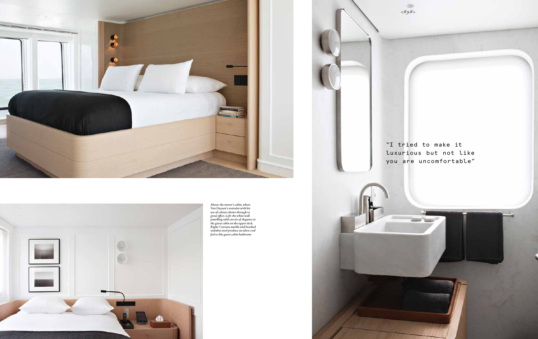*Left: the full-beam main deck master cabin, with its desk facing to starboard and enjoying great views through the large rectangular windows*

![](_page_6_Picture_0.jpeg)

add-ons were the modified transom and new 2.8 metre bathing platform, a large carbon fibre extension to the upper deck and an extra lounging space forward of the bridge. To increase buoyancy, the underwater body was extended aft.

*RH3* was a proven performer before the changes, with at least a dozen Atlantic crossings under her belt, and the additions don't seem to have upset this pedigree. "The seakeeping of the vessel is very good," the captain, David Clayman, reports. "For her size, she is stout and deep. She is sturdy and I would rate her seakeeping abilities as well above average for her class." He sensibly avoids taking the yacht out when conditions aren't favourable, but says he has encountered three metre seas while at the helm, coming at 12 second intervals, and that the yacht pushed though it capably, even with the zero-speed Naiads switched off. It was just this kind of no-nonsense, go-anywhere potential that appealed to the owner. "In general, most yachts are about sitting there and doing nothing," he says. "We want to go places, do things. It's all about being real and I think an explorer gives something real to the ocean."

The highly individual yacht gives you all sorts of clues about the owner's lifestyle within minutes of stepping on board. The upper deck saloon is a hybrid space – part playroom and workout space. Exercise bikes sit facing the big picture windows alongside a pair of Keiser performance trainers. There's also an outside exercise space on the observation deck, above the wheelhouse. "It's all about being active, getting up early, doing a workout, going for a swim and then hiking or biking. We have a special bike room, to keep our mountain bikes at the right temperature. It's all just an extension of our lifestyle," the owner says. It's not all unalloyed good health – the owner is fond of sitting in one of the twin chairs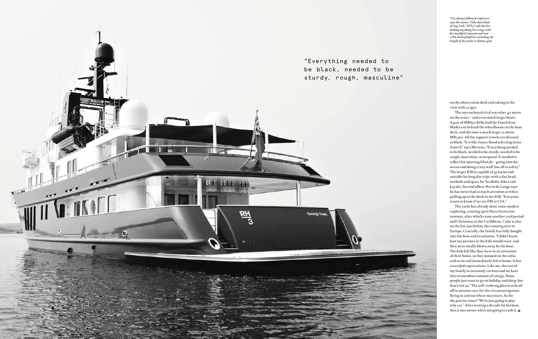![](_page_7_Picture_0.jpeg)

![](_page_7_Picture_1.jpeg)

*Above: the owner's cabin, where Van Duysen's restraint with his use of colours shows through to great effect. Left: the white wall panelling adds an air of elegance to the guest cabin on the upper deck. Right: Carrara marble and brushed stainless steel produce an ultra-cool feel to this guest cabin bathroom* 

![](_page_7_Picture_3.jpeg)

"I tried to make it luxurious but not like you are uncomfortable"

 $\textcircled{\scriptsize{1}}$  $<$ #y#>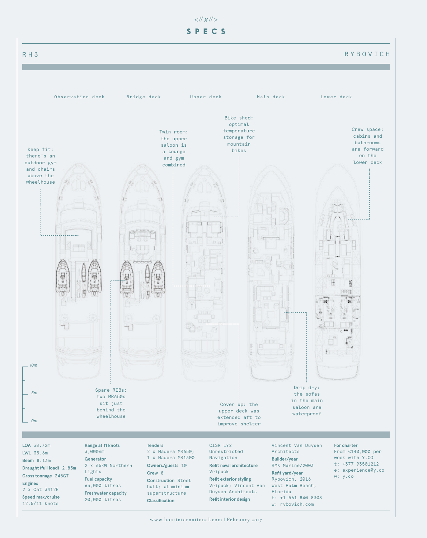on the observation deck and taking in the view with a cigar.

The toys on board rival any other 40 metre on the water – and even much larger boats. A pair of MR650 RIBs built by Dutch firm Madera sit behind the wheelhouse on the boat deck, and she tows a much larger 15 metre MR1300. All the support vessels are dressed in black. "It is like James Bond selecting items from Q," says Mertens. "Everything needed to be black, needed to be sturdy, needed to be rough, masculine, waterproof. It needed to reflect his sporting lifestyle – going into the ocean and doing crazy stuff, but all in safety." The larger RIB is capable of 45 knots and suitable for long day trips, with a day head, sunbeds and space for SeaBobs, bikes and kayaks. Second officer Bevin de Lange says he has never had as much attention as when pulling up to the dock in the RIB. "Everyone wants to know if we are FBI or CIA."

![](_page_8_Picture_0.jpeg)

The yacht has already done some modest exploring, cruising up to Nova Scotia last summer, after which came another yard period and Christmas in the Caribbean. Cuba is also on the list, just before the crossing over to Europe. Crucially, the family has fully bought into the boat and its mission. "I didn't know how my partner or the kids would react, and they were totally blown away by the boat. The kids felt like they were in an extension of their home, so they jumped on the sofas and so on and immediately felt at home. It has exceeded expectations. Like me, the rest of my family is extremely curious and we have this tremendous amount of energy. Some people just want to go on holiday and sleep, but that's not us." The still-evolving plan is to head off in autumn 2017 for the circumnavigation, flying in and out where necessary. As for the precise route? "We're just going to play it by ear." After waiting a decade for his boat, this is one owner who's not going to rush it. **<sup>B</sup>**

*"I've always followed explorers," says the owner. "I like their kind of 'tug' look."* RH3*'s refit has her looking anything but a tug, with her modified transom and new 2.8m swim platform extending the length of the yacht to almost 40m*